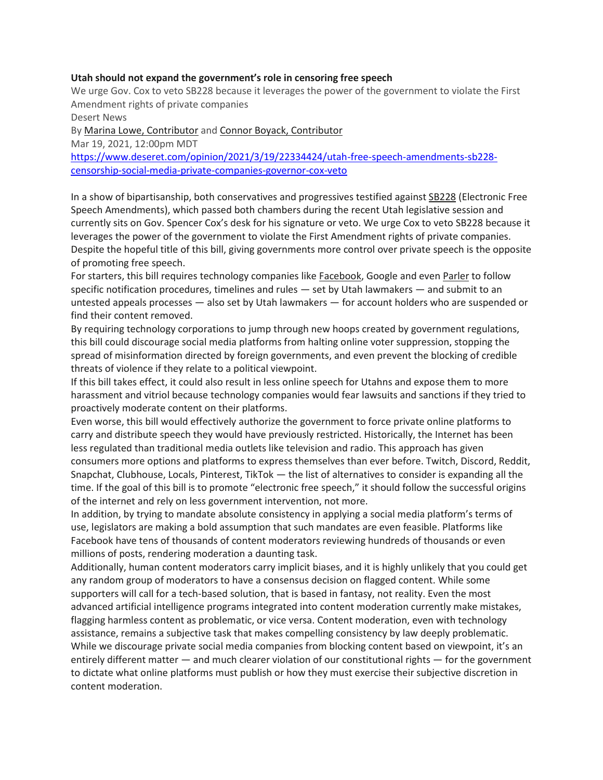## **Utah should not expand the government's role in censoring free speech**

We urge Gov. Cox to veto SB228 because it leverages the power of the government to violate the First Amendment rights of private companies

Desert News By [Marina Lowe, Contributor](https://www.deseret.com/authors/marina-lowe) and [Connor Boyack, Contributor](https://www.deseret.com/authors/connor-boyack)  Mar 19, 2021, 12:00pm MDT [https://www.deseret.com/opinion/2021/3/19/22334424/utah-free-speech-amendments-sb228](https://www.deseret.com/opinion/2021/3/19/22334424/utah-free-speech-amendments-sb228-censorship-social-media-private-companies-governor-cox-veto) [censorship-social-media-private-companies-governor-cox-veto](https://www.deseret.com/opinion/2021/3/19/22334424/utah-free-speech-amendments-sb228-censorship-social-media-private-companies-governor-cox-veto)

In a show of bipartisanship, both conservatives and progressives testified against [SB228](https://www.deseret.com/opinion/2021/3/2/22310510/utah-legislature-social-media-censorship-big-tech-poses-a-major-threat-to-free-speech) (Electronic Free Speech Amendments), which passed both chambers during the recent Utah legislative session and currently sits on Gov. Spencer Cox's desk for his signature or veto. We urge Cox to veto SB228 because it leverages the power of the government to violate the First Amendment rights of private companies. Despite the hopeful title of this bill, giving governments more control over private speech is the opposite of promoting free speech.

For starters, this bill requires technology companies like [Facebook,](https://www.deseret.com/indepth/2020/10/15/21409131/conservatives-facebook-bias-section-230-mark-zuckerberg-tucker-carlson-media-trump-hunter-biden) Google and even [Parler](https://www.deseret.com/indepth/2020/11/24/21575766/conservatives-parler-twitter-free-speech-ivanka-trump-constituion-first-amendment-cancel-culture) to follow specific notification procedures, timelines and rules — set by Utah lawmakers — and submit to an untested appeals processes — also set by Utah lawmakers — for account holders who are suspended or find their content removed.

By requiring technology corporations to jump through new hoops created by government regulations, this bill could discourage social media platforms from halting online voter suppression, stopping the spread of misinformation directed by foreign governments, and even prevent the blocking of credible threats of violence if they relate to a political viewpoint.

If this bill takes effect, it could also result in less online speech for Utahns and expose them to more harassment and vitriol because technology companies would fear lawsuits and sanctions if they tried to proactively moderate content on their platforms.

Even worse, this bill would effectively authorize the government to force private online platforms to carry and distribute speech they would have previously restricted. Historically, the Internet has been less regulated than traditional media outlets like television and radio. This approach has given consumers more options and platforms to express themselves than ever before. Twitch, Discord, Reddit, Snapchat, Clubhouse, Locals, Pinterest, TikTok — the list of alternatives to consider is expanding all the time. If the goal of this bill is to promote "electronic free speech," it should follow the successful origins of the internet and rely on less government intervention, not more.

In addition, by trying to mandate absolute consistency in applying a social media platform's terms of use, legislators are making a bold assumption that such mandates are even feasible. Platforms like Facebook have tens of thousands of content moderators reviewing hundreds of thousands or even millions of posts, rendering moderation a daunting task.

Additionally, human content moderators carry implicit biases, and it is highly unlikely that you could get any random group of moderators to have a consensus decision on flagged content. While some supporters will call for a tech-based solution, that is based in fantasy, not reality. Even the most advanced artificial intelligence programs integrated into content moderation currently make mistakes, flagging harmless content as problematic, or vice versa. Content moderation, even with technology assistance, remains a subjective task that makes compelling consistency by law deeply problematic. While we discourage private social media companies from blocking content based on viewpoint, it's an entirely different matter — and much clearer violation of our constitutional rights — for the government to dictate what online platforms must publish or how they must exercise their subjective discretion in content moderation.